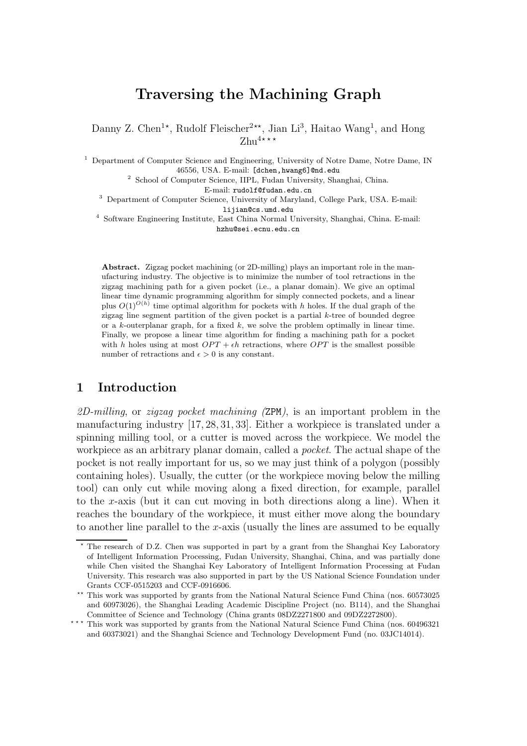# Traversing the Machining Graph

Danny Z. Chen<sup>1\*</sup>, Rudolf Fleischer<sup>2\*\*</sup>, Jian Li<sup>3</sup>, Haitao Wang<sup>1</sup>, and Hong  $Z$ hu<sup>4</sup>\*\*\*

 $<sup>1</sup>$  Department of Computer Science and Engineering, University of Notre Dame, Notre Dame, IN</sup> 46556, USA. E-mail: [dchen,hwang6]@nd.edu

<sup>2</sup> School of Computer Science, IIPL, Fudan University, Shanghai, China.

E-mail: rudolf@fudan.edu.cn

<sup>3</sup> Department of Computer Science, University of Maryland, College Park, USA. E-mail:

lijian@cs.umd.edu

4 Software Engineering Institute, East China Normal University, Shanghai, China. E-mail: hzhu@sei.ecnu.edu.cn

Abstract. Zigzag pocket machining (or 2D-milling) plays an important role in the manufacturing industry. The objective is to minimize the number of tool retractions in the zigzag machining path for a given pocket (i.e., a planar domain). We give an optimal linear time dynamic programming algorithm for simply connected pockets, and a linear plus  $O(1)^{O(h)}$  time optimal algorithm for pockets with h holes. If the dual graph of the zigzag line segment partition of the given pocket is a partial  $k$ -tree of bounded degree or a k-outerplanar graph, for a fixed  $k$ , we solve the problem optimally in linear time. Finally, we propose a linear time algorithm for finding a machining path for a pocket with h holes using at most  $OPT + \epsilon h$  retractions, where  $OPT$  is the smallest possible number of retractions and  $\epsilon > 0$  is any constant.

### 1 Introduction

2D-milling, or zigzag pocket machining  $(ZPM)$ , is an important problem in the manufacturing industry [17, 28, 31, 33]. Either a workpiece is translated under a spinning milling tool, or a cutter is moved across the workpiece. We model the workpiece as an arbitrary planar domain, called a pocket. The actual shape of the pocket is not really important for us, so we may just think of a polygon (possibly containing holes). Usually, the cutter (or the workpiece moving below the milling tool) can only cut while moving along a fixed direction, for example, parallel to the x-axis (but it can cut moving in both directions along a line). When it reaches the boundary of the workpiece, it must either move along the boundary to another line parallel to the  $x$ -axis (usually the lines are assumed to be equally

<sup>⋆</sup> The research of D.Z. Chen was supported in part by a grant from the Shanghai Key Laboratory of Intelligent Information Processing, Fudan University, Shanghai, China, and was partially done while Chen visited the Shanghai Key Laboratory of Intelligent Information Processing at Fudan University. This research was also supported in part by the US National Science Foundation under Grants CCF-0515203 and CCF-0916606.

<sup>\*\*</sup> This work was supported by grants from the National Natural Science Fund China (nos. 60573025) and 60973026), the Shanghai Leading Academic Discipline Project (no. B114), and the Shanghai Committee of Science and Technology (China grants 08DZ2271800 and 09DZ2272800).

<sup>\*\*\*</sup> This work was supported by grants from the National Natural Science Fund China (nos. 60496321 and 60373021) and the Shanghai Science and Technology Development Fund (no. 03JC14014).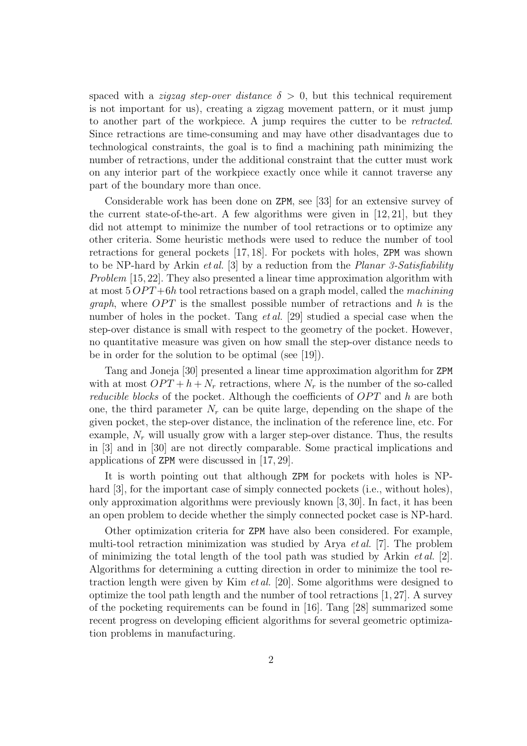spaced with a *zigzag step-over distance*  $\delta > 0$ , but this technical requirement is not important for us), creating a zigzag movement pattern, or it must jump to another part of the workpiece. A jump requires the cutter to be retracted. Since retractions are time-consuming and may have other disadvantages due to technological constraints, the goal is to find a machining path minimizing the number of retractions, under the additional constraint that the cutter must work on any interior part of the workpiece exactly once while it cannot traverse any part of the boundary more than once.

Considerable work has been done on ZPM, see [33] for an extensive survey of the current state-of-the-art. A few algorithms were given in  $[12, 21]$ , but they did not attempt to minimize the number of tool retractions or to optimize any other criteria. Some heuristic methods were used to reduce the number of tool retractions for general pockets [17, 18]. For pockets with holes, ZPM was shown to be NP-hard by Arkin *et al.* [3] by a reduction from the *Planar 3-Satisfiability* Problem [15, 22]. They also presented a linear time approximation algorithm with at most  $5 OPT+6h$  tool retractions based on a graph model, called the *machining graph*, where  $OPT$  is the smallest possible number of retractions and h is the number of holes in the pocket. Tang *et al.* [29] studied a special case when the step-over distance is small with respect to the geometry of the pocket. However, no quantitative measure was given on how small the step-over distance needs to be in order for the solution to be optimal (see [19]).

Tang and Joneja [30] presented a linear time approximation algorithm for ZPM with at most  $OPT + h + N_r$  retractions, where  $N_r$  is the number of the so-called *reducible blocks* of the pocket. Although the coefficients of  $OPT$  and h are both one, the third parameter  $N_r$  can be quite large, depending on the shape of the given pocket, the step-over distance, the inclination of the reference line, etc. For example,  $N_r$  will usually grow with a larger step-over distance. Thus, the results in [3] and in [30] are not directly comparable. Some practical implications and applications of ZPM were discussed in [17, 29].

It is worth pointing out that although ZPM for pockets with holes is NPhard [3], for the important case of simply connected pockets (i.e., without holes), only approximation algorithms were previously known [3, 30]. In fact, it has been an open problem to decide whether the simply connected pocket case is NP-hard.

Other optimization criteria for ZPM have also been considered. For example, multi-tool retraction minimization was studied by Arya et al. [7]. The problem of minimizing the total length of the tool path was studied by Arkin *et al.* [2]. Algorithms for determining a cutting direction in order to minimize the tool retraction length were given by Kim et al. [20]. Some algorithms were designed to optimize the tool path length and the number of tool retractions [1, 27]. A survey of the pocketing requirements can be found in [16]. Tang [28] summarized some recent progress on developing efficient algorithms for several geometric optimization problems in manufacturing.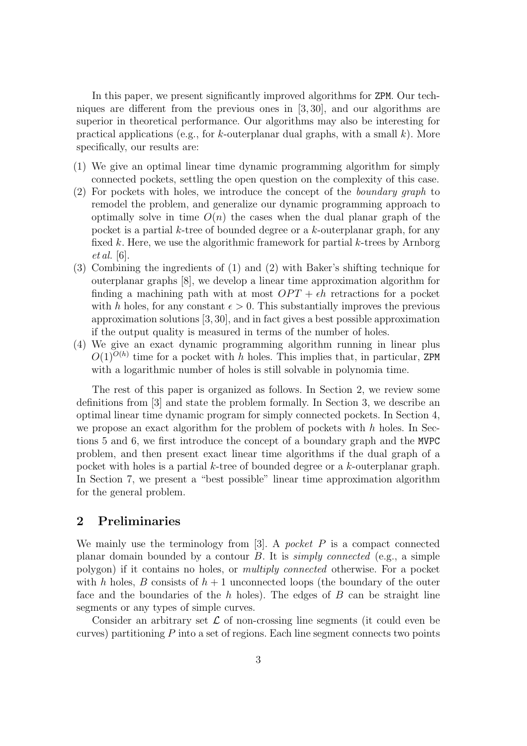In this paper, we present significantly improved algorithms for ZPM. Our techniques are different from the previous ones in [3, 30], and our algorithms are superior in theoretical performance. Our algorithms may also be interesting for practical applications (e.g., for k-outerplanar dual graphs, with a small  $k$ ). More specifically, our results are:

- (1) We give an optimal linear time dynamic programming algorithm for simply connected pockets, settling the open question on the complexity of this case.
- (2) For pockets with holes, we introduce the concept of the boundary graph to remodel the problem, and generalize our dynamic programming approach to optimally solve in time  $O(n)$  the cases when the dual planar graph of the pocket is a partial  $k$ -tree of bounded degree or a  $k$ -outerplanar graph, for any fixed k. Here, we use the algorithmic framework for partial k-trees by Arnborg et al. [6].
- (3) Combining the ingredients of (1) and (2) with Baker's shifting technique for outerplanar graphs [8], we develop a linear time approximation algorithm for finding a machining path with at most  $OPT + \epsilon h$  retractions for a pocket with h holes, for any constant  $\epsilon > 0$ . This substantially improves the previous approximation solutions [3, 30], and in fact gives a best possible approximation if the output quality is measured in terms of the number of holes.
- (4) We give an exact dynamic programming algorithm running in linear plus  $O(1)^{O(h)}$  time for a pocket with h holes. This implies that, in particular, ZPM with a logarithmic number of holes is still solvable in polynomia time.

The rest of this paper is organized as follows. In Section 2, we review some definitions from [3] and state the problem formally. In Section 3, we describe an optimal linear time dynamic program for simply connected pockets. In Section 4, we propose an exact algorithm for the problem of pockets with  $h$  holes. In Sections 5 and 6, we first introduce the concept of a boundary graph and the MVPC problem, and then present exact linear time algorithms if the dual graph of a pocket with holes is a partial k-tree of bounded degree or a k-outerplanar graph. In Section 7, we present a "best possible" linear time approximation algorithm for the general problem.

### 2 Preliminaries

We mainly use the terminology from  $[3]$ . A pocket P is a compact connected planar domain bounded by a contour  $B$ . It is *simply connected* (e.g., a simple polygon) if it contains no holes, or multiply connected otherwise. For a pocket with h holes, B consists of  $h + 1$  unconnected loops (the boundary of the outer face and the boundaries of the  $h$  holes). The edges of  $B$  can be straight line segments or any types of simple curves.

Consider an arbitrary set  $\mathcal L$  of non-crossing line segments (it could even be curves) partitioning  $P$  into a set of regions. Each line segment connects two points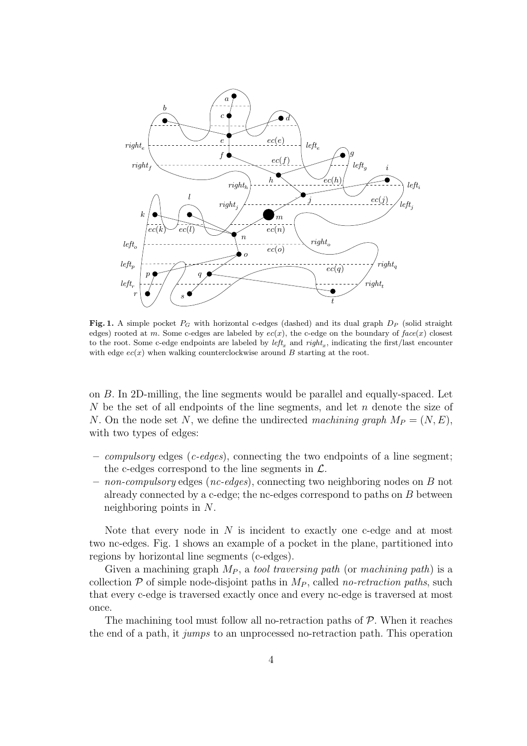

Fig. 1. A simple pocket  $P_G$  with horizontal c-edges (dashed) and its dual graph  $D_P$  (solid straight edges) rooted at m. Some c-edges are labeled by  $ec(x)$ , the c-edge on the boundary of *face*(x) closest to the root. Some c-edge endpoints are labeled by  $left_x$  and  $right_x$ , indicating the first/last encounter with edge  $ec(x)$  when walking counterclockwise around  $B$  starting at the root.

on B. In 2D-milling, the line segments would be parallel and equally-spaced. Let N be the set of all endpoints of the line segments, and let  $n$  denote the size of N. On the node set N, we define the undirected machining graph  $M_P = (N, E)$ , with two types of edges:

- *compulsory* edges (*c-edges*), connecting the two endpoints of a line segment; the c-edges correspond to the line segments in  $\mathcal{L}$ .
- $-$  non-compulsory edges (nc-edges), connecting two neighboring nodes on B not already connected by a c-edge; the nc-edges correspond to paths on  $B$  between neighboring points in N.

Note that every node in  $N$  is incident to exactly one c-edge and at most two nc-edges. Fig. 1 shows an example of a pocket in the plane, partitioned into regions by horizontal line segments (c-edges).

Given a machining graph  $M_P$ , a tool traversing path (or machining path) is a collection  $P$  of simple node-disjoint paths in  $M_P$ , called no-retraction paths, such that every c-edge is traversed exactly once and every nc-edge is traversed at most once.

The machining tool must follow all no-retraction paths of  $P$ . When it reaches the end of a path, it jumps to an unprocessed no-retraction path. This operation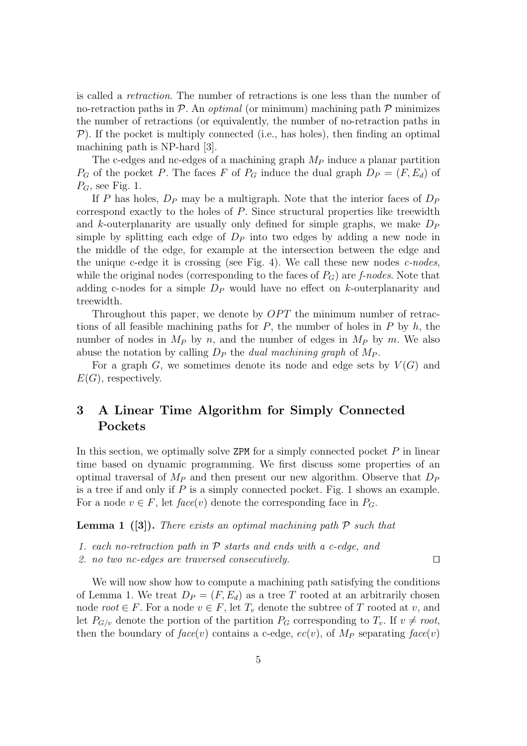is called a retraction. The number of retractions is one less than the number of no-retraction paths in  $P$ . An *optimal* (or minimum) machining path  $P$  minimizes the number of retractions (or equivalently, the number of no-retraction paths in  $P$ ). If the pocket is multiply connected (i.e., has holes), then finding an optimal machining path is NP-hard [3].

The c-edges and nc-edges of a machining graph  $M_P$  induce a planar partition  $P_G$  of the pocket P. The faces F of  $P_G$  induce the dual graph  $D_P = (F, E_d)$  of  $P_G$ , see Fig. 1.

If P has holes,  $D_P$  may be a multigraph. Note that the interior faces of  $D_P$ correspond exactly to the holes of P. Since structural properties like treewidth and k-outerplanarity are usually only defined for simple graphs, we make  $D<sub>P</sub>$ simple by splitting each edge of  $D<sub>P</sub>$  into two edges by adding a new node in the middle of the edge, for example at the intersection between the edge and the unique c-edge it is crossing (see Fig. 4). We call these new nodes  $c$ -nodes, while the original nodes (corresponding to the faces of  $P_G$ ) are f-nodes. Note that adding c-nodes for a simple  $D<sub>P</sub>$  would have no effect on k-outerplanarity and treewidth.

Throughout this paper, we denote by  $OPT$  the minimum number of retractions of all feasible machining paths for  $P$ , the number of holes in  $P$  by  $h$ , the number of nodes in  $M_P$  by n, and the number of edges in  $M_P$  by m. We also abuse the notation by calling  $D_P$  the *dual machining graph* of  $M_P$ .

For a graph  $G$ , we sometimes denote its node and edge sets by  $V(G)$  and  $E(G)$ , respectively.

## 3 A Linear Time Algorithm for Simply Connected Pockets

In this section, we optimally solve  $ZPM$  for a simply connected pocket  $P$  in linear time based on dynamic programming. We first discuss some properties of an optimal traversal of  $M_P$  and then present our new algorithm. Observe that  $D_P$ is a tree if and only if  $P$  is a simply connected pocket. Fig. 1 shows an example. For a node  $v \in F$ , let  $face(v)$  denote the corresponding face in  $P_G$ .

**Lemma 1** ([3]). There exists an optimal machining path  $P$  such that

- 1. each no-retraction path in  $P$  starts and ends with a c-edge, and
- 2. no two nc-edges are traversed consecutively. □

We will now show how to compute a machining path satisfying the conditions of Lemma 1. We treat  $D_P = (F, E_d)$  as a tree T rooted at an arbitrarily chosen node  $root \in F$ . For a node  $v \in F$ , let  $T_v$  denote the subtree of T rooted at v, and let  $P_{G/v}$  denote the portion of the partition  $P_G$  corresponding to  $T_v$ . If  $v \neq root$ , then the boundary of  $face(v)$  contains a c-edge,  $ec(v)$ , of  $M_P$  separating  $face(v)$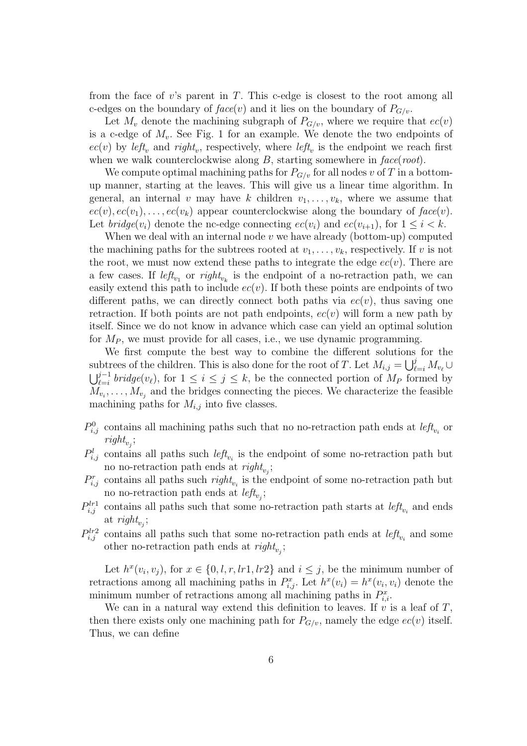from the face of  $v$ 's parent in  $T$ . This c-edge is closest to the root among all c-edges on the boundary of  $face(v)$  and it lies on the boundary of  $P_{G/v}$ .

Let  $M_v$  denote the machining subgraph of  $P_{G/v}$ , where we require that  $ec(v)$ is a c-edge of  $M_v$ . See Fig. 1 for an example. We denote the two endpoints of  $ec(v)$  by  $left_v$  and right<sub>v</sub>, respectively, where  $left_v$  is the endpoint we reach first when we walk counterclockwise along  $B$ , starting somewhere in  $face(root)$ .

We compute optimal machining paths for  $P_{G/v}$  for all nodes v of T in a bottomup manner, starting at the leaves. This will give us a linear time algorithm. In general, an internal v may have k children  $v_1, \ldots, v_k$ , where we assume that  $ec(v), ec(v_1), \ldots, ec(v_k)$  appear counterclockwise along the boundary of  $face(v)$ . Let  $bridge(v_i)$  denote the nc-edge connecting  $ec(v_i)$  and  $ec(v_{i+1})$ , for  $1 \leq i \leq k$ .

When we deal with an internal node  $v$  we have already (bottom-up) computed the machining paths for the subtrees rooted at  $v_1, \ldots, v_k$ , respectively. If v is not the root, we must now extend these paths to integrate the edge  $ec(v)$ . There are a few cases. If  $left_{v_1}$  or  $right_{v_k}$  is the endpoint of a no-retraction path, we can easily extend this path to include  $ec(v)$ . If both these points are endpoints of two different paths, we can directly connect both paths via  $ec(v)$ , thus saving one retraction. If both points are not path endpoints,  $ec(v)$  will form a new path by itself. Since we do not know in advance which case can yield an optimal solution for  $M_P$ , we must provide for all cases, i.e., we use dynamic programming.

We first compute the best way to combine the different solutions for the subtrees of the children. This is also done for the root of T. Let  $M_{i,j} = \bigcup_{\ell=i}^{j} M_{v_{\ell}} \cup$  $\bigcup_{\ell=i}^{j-1} bridge(v_{\ell}),$  for  $1 \leq i \leq j \leq k$ , be the connected portion of  $M_P$  formed by  $M_{v_i}, \ldots, M_{v_j}$  and the bridges connecting the pieces. We characterize the feasible machining paths for  $M_{i,j}$  into five classes.

- $P_{i,j}^0$  contains all machining paths such that no no-retraction path ends at  $left_{v_i}$  or  $right_{v_j};$
- $P_{i,j}^l$  contains all paths such  $left_{v_i}$  is the endpoint of some no-retraction path but no no-retraction path ends at  $\text{right}_{v_j}$ ;
- $P_{i,j}^r$  contains all paths such  $\text{right}_{v_i}$  is the endpoint of some no-retraction path but no no-retraction path ends at  $left_{v_j}$ ;
- $P_{i,j}^{lr1}$  contains all paths such that some no-retraction path starts at  $left_{v_i}$  and ends at  $\textit{right}_{v_j}$ ;
- $P_{i,j}^{lr2}$  contains all paths such that some no-retraction path ends at  $left_{v_i}$  and some other no-retraction path ends at  $\text{right}_{v_j}$ ;

Let  $h^x(v_i, v_j)$ , for  $x \in \{0, l, r, lr1, lr2\}$  and  $i \leq j$ , be the minimum number of retractions among all machining paths in  $P_{i,j}^x$ . Let  $h^x(v_i) = h^x(v_i, v_i)$  denote the minimum number of retractions among all machining paths in  $P_{i,i}^x$ .

We can in a natural way extend this definition to leaves. If  $v$  is a leaf of  $T$ , then there exists only one machining path for  $P_{G/v}$ , namely the edge  $ec(v)$  itself. Thus, we can define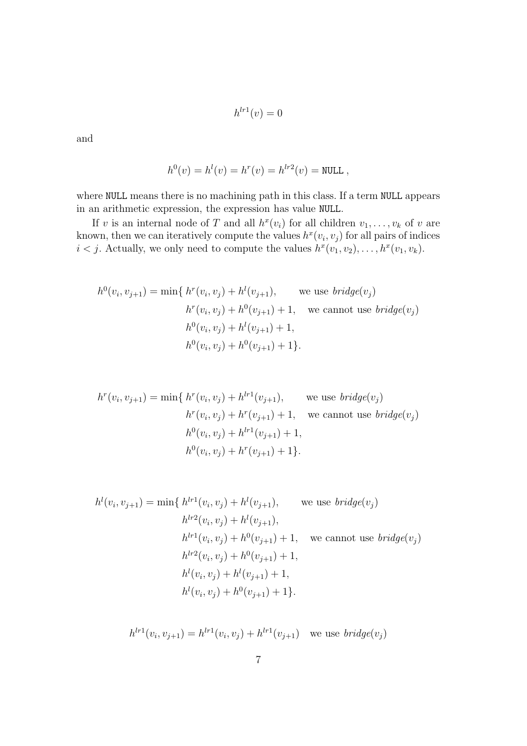$$
h^{lr1}(v) = 0
$$

and

$$
h^{0}(v) = h^{l}(v) = h^{r}(v) = h^{lr2}(v) = \text{NULL},
$$

where NULL means there is no machining path in this class. If a term NULL appears in an arithmetic expression, the expression has value NULL.

If v is an internal node of T and all  $h^x(v_i)$  for all children  $v_1, \ldots, v_k$  of v are known, then we can iteratively compute the values  $h^x(v_i, v_j)$  for all pairs of indices  $i < j$ . Actually, we only need to compute the values  $h^x(v_1, v_2), \ldots, h^x(v_1, v_k)$ .

$$
h^{0}(v_{i}, v_{j+1}) = \min\{h^{r}(v_{i}, v_{j}) + h^{l}(v_{j+1}), \text{ we use } bridge(v_{j})\}
$$

$$
h^{r}(v_{i}, v_{j}) + h^{0}(v_{j+1}) + 1, \text{ we cannot use } bridge(v_{j})
$$

$$
h^{0}(v_{i}, v_{j}) + h^{l}(v_{j+1}) + 1,
$$

$$
h^{0}(v_{i}, v_{j}) + h^{0}(v_{j+1}) + 1\}.
$$

$$
h^{r}(v_{i}, v_{j+1}) = \min\{h^{r}(v_{i}, v_{j}) + h^{lr1}(v_{j+1}), \text{ we use } bridge(v_{j})\}
$$
  

$$
h^{r}(v_{i}, v_{j}) + h^{r}(v_{j+1}) + 1, \text{ we cannot use } bridge(v_{j})
$$
  

$$
h^{0}(v_{i}, v_{j}) + h^{lr1}(v_{j+1}) + 1,
$$
  

$$
h^{0}(v_{i}, v_{j}) + h^{r}(v_{j+1}) + 1\}.
$$

$$
h^{l}(v_{i}, v_{j+1}) = \min\{ h^{lr1}(v_{i}, v_{j}) + h^{l}(v_{j+1}), \qquad \text{we use } bridge(v_{j})
$$
  

$$
h^{lr2}(v_{i}, v_{j}) + h^{l}(v_{j+1}),
$$
  

$$
h^{lr1}(v_{i}, v_{j}) + h^{0}(v_{j+1}) + 1, \qquad \text{we cannot use } bridge(v_{j})
$$
  

$$
h^{lr2}(v_{i}, v_{j}) + h^{0}(v_{j+1}) + 1,
$$
  

$$
h^{l}(v_{i}, v_{j}) + h^{l}(v_{j+1}) + 1,
$$
  

$$
h^{l}(v_{i}, v_{j}) + h^{0}(v_{j+1}) + 1 \}.
$$

$$
h^{lr1}(v_i, v_{j+1}) = h^{lr1}(v_i, v_j) + h^{lr1}(v_{j+1})
$$
 we use  $bridge(v_j)$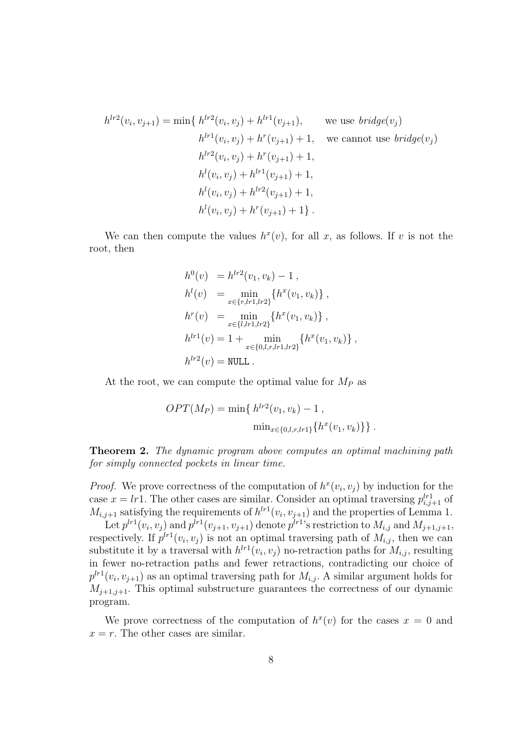$$
h^{lr2}(v_i, v_{j+1}) = \min\{ h^{lr2}(v_i, v_j) + h^{lr1}(v_{j+1}), \text{ we use } bridge(v_j) h^{lr1}(v_i, v_j) + h^r(v_{j+1}) + 1, \text{ we cannot use } bridge(v_j) h^{lr2}(v_i, v_j) + h^r(v_{j+1}) + 1, h^{l}(v_i, v_j) + h^{lr1}(v_{j+1}) + 1, h^{l}(v_i, v_j) + h^{lr2}(v_{j+1}) + 1, h^{l}(v_i, v_j) + h^r(v_{j+1}) + 1 \}.
$$

We can then compute the values  $h^x(v)$ , for all x, as follows. If v is not the root, then

$$
h^{0}(v) = h^{lr2}(v_{1}, v_{k}) - 1,
$$
  
\n
$$
h^{l}(v) = \min_{x \in \{r, lr1, lr2\}} \{h^{x}(v_{1}, v_{k})\},
$$
  
\n
$$
h^{r}(v) = \min_{x \in \{l, lr1, lr2\}} \{h^{x}(v_{1}, v_{k})\},
$$
  
\n
$$
h^{lr1}(v) = 1 + \min_{x \in \{0, l, r, lr1, lr2\}} \{h^{x}(v_{1}, v_{k})\},
$$
  
\n
$$
h^{lr2}(v) = \text{NULL}.
$$

At the root, we can compute the optimal value for  $M_P$  as

$$
OPT(M_P) = \min\{ h^{lr2}(v_1, v_k) - 1 ,
$$
  

$$
\min_{x \in \{0, l, r, l r 1\}} \{ h^x(v_1, v_k) \} \}.
$$

**Theorem 2.** The dynamic program above computes an optimal machining path for simply connected pockets in linear time.

*Proof.* We prove correctness of the computation of  $h^x(v_i, v_j)$  by induction for the case  $x = lr1$ . The other cases are similar. Consider an optimal traversing  $p_{i,j+1}^{lr1}$  of  $M_{i,j+1}$  satisfying the requirements of  $h^{l+1}(v_i, v_{j+1})$  and the properties of Lemma 1.

Let  $p^{l+1}(v_i, v_j)$  and  $p^{l+1}(v_{j+1}, v_{j+1})$  denote  $p^{l+1}$ 's restriction to  $M_{i,j}$  and  $M_{j+1,j+1}$ , respectively. If  $p^{lr}(v_i, v_j)$  is not an optimal traversing path of  $M_{i,j}$ , then we can substitute it by a traversal with  $h^{l r} (v_i, v_j)$  no-retraction paths for  $M_{i,j}$ , resulting in fewer no-retraction paths and fewer retractions, contradicting our choice of  $p^{lr1}(v_i, v_{j+1})$  as an optimal traversing path for  $M_{i,j}$ . A similar argument holds for  $M_{i+1,i+1}$ . This optimal substructure guarantees the correctness of our dynamic program.

We prove correctness of the computation of  $h^{x}(v)$  for the cases  $x = 0$  and  $x = r$ . The other cases are similar.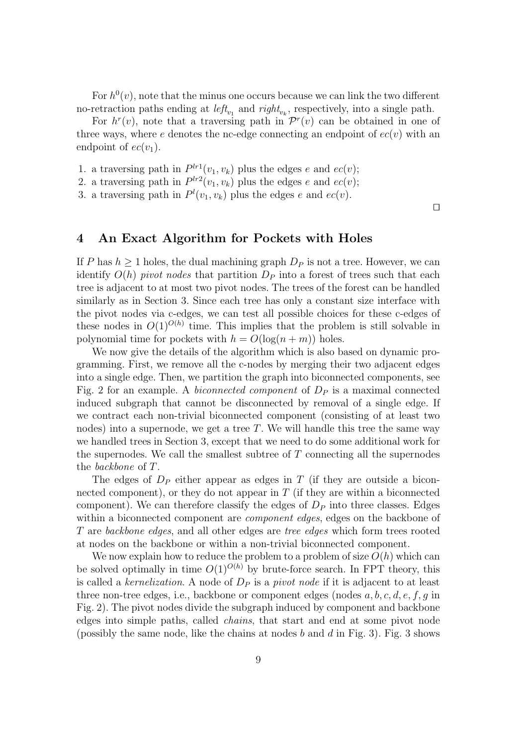For  $h^0(v)$ , note that the minus one occurs because we can link the two different no-retraction paths ending at  $left_{v_1}$  and  $right_{v_k}$ , respectively, into a single path.

For  $h^r(v)$ , note that a traversing path in  $\mathcal{P}^r(v)$  can be obtained in one of three ways, where e denotes the nc-edge connecting an endpoint of  $ec(v)$  with an endpoint of  $ec(v_1)$ .

1. a traversing path in  $P^{lr1}(v_1, v_k)$  plus the edges e and  $ec(v)$ ;

2. a traversing path in  $P^{lr2}(v_1, v_k)$  plus the edges e and  $ec(v)$ ;

3. a traversing path in  $P^l(v_1, v_k)$  plus the edges e and  $ec(v)$ .

⊓⊔

### 4 An Exact Algorithm for Pockets with Holes

If P has  $h > 1$  holes, the dual machining graph  $D_P$  is not a tree. However, we can identify  $O(h)$  pivot nodes that partition  $D_P$  into a forest of trees such that each tree is adjacent to at most two pivot nodes. The trees of the forest can be handled similarly as in Section 3. Since each tree has only a constant size interface with the pivot nodes via c-edges, we can test all possible choices for these c-edges of these nodes in  $O(1)^{O(h)}$  time. This implies that the problem is still solvable in polynomial time for pockets with  $h = O(\log(n+m))$  holes.

We now give the details of the algorithm which is also based on dynamic programming. First, we remove all the c-nodes by merging their two adjacent edges into a single edge. Then, we partition the graph into biconnected components, see Fig. 2 for an example. A biconnected component of  $D<sub>P</sub>$  is a maximal connected induced subgraph that cannot be disconnected by removal of a single edge. If we contract each non-trivial biconnected component (consisting of at least two nodes) into a supernode, we get a tree  $T$ . We will handle this tree the same way we handled trees in Section 3, except that we need to do some additional work for the supernodes. We call the smallest subtree of  $T$  connecting all the supernodes the backbone of T.

The edges of  $D<sub>P</sub>$  either appear as edges in T (if they are outside a biconnected component), or they do not appear in  $T$  (if they are within a biconnected component). We can therefore classify the edges of  $D<sub>P</sub>$  into three classes. Edges within a biconnected component are *component edges*, edges on the backbone of T are backbone edges, and all other edges are tree edges which form trees rooted at nodes on the backbone or within a non-trivial biconnected component.

We now explain how to reduce the problem to a problem of size  $O(h)$  which can be solved optimally in time  $O(1)^{O(h)}$  by brute-force search. In FPT theory, this is called a kernelization. A node of  $D<sub>P</sub>$  is a pivot node if it is adjacent to at least three non-tree edges, i.e., backbone or component edges (nodes  $a, b, c, d, e, f, g$  in Fig. 2). The pivot nodes divide the subgraph induced by component and backbone edges into simple paths, called chains, that start and end at some pivot node (possibly the same node, like the chains at nodes b and d in Fig. 3). Fig. 3 shows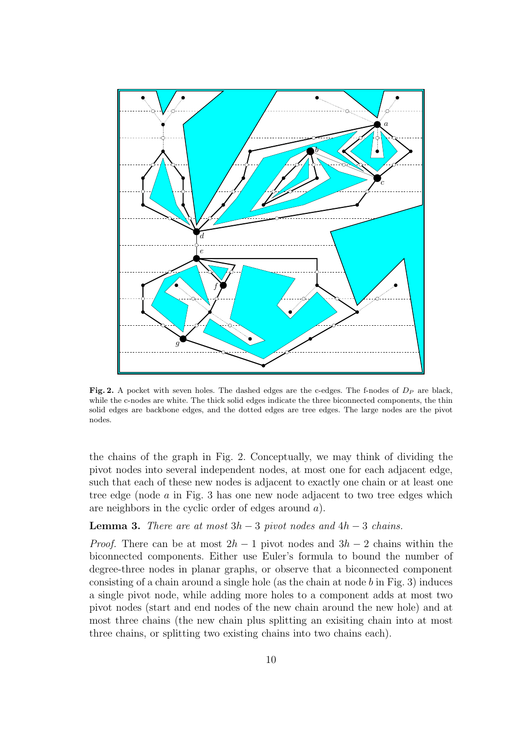

Fig. 2. A pocket with seven holes. The dashed edges are the c-edges. The f-nodes of  $D_P$  are black, while the c-nodes are white. The thick solid edges indicate the three biconnected components, the thin solid edges are backbone edges, and the dotted edges are tree edges. The large nodes are the pivot nodes.

the chains of the graph in Fig. 2. Conceptually, we may think of dividing the pivot nodes into several independent nodes, at most one for each adjacent edge, such that each of these new nodes is adjacent to exactly one chain or at least one tree edge (node a in Fig. 3 has one new node adjacent to two tree edges which are neighbors in the cyclic order of edges around a).

#### **Lemma 3.** There are at most  $3h - 3$  pivot nodes and  $4h - 3$  chains.

*Proof.* There can be at most  $2h - 1$  pivot nodes and  $3h - 2$  chains within the biconnected components. Either use Euler's formula to bound the number of degree-three nodes in planar graphs, or observe that a biconnected component consisting of a chain around a single hole (as the chain at node  $b$  in Fig. 3) induces a single pivot node, while adding more holes to a component adds at most two pivot nodes (start and end nodes of the new chain around the new hole) and at most three chains (the new chain plus splitting an exisiting chain into at most three chains, or splitting two existing chains into two chains each).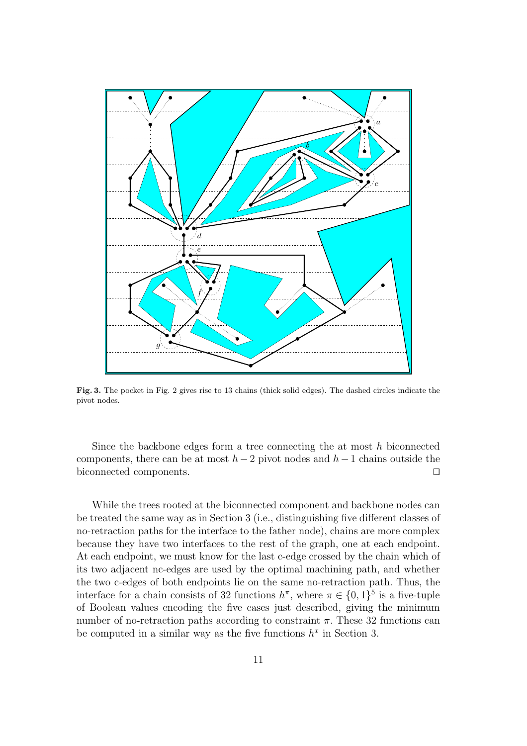

Fig. 3. The pocket in Fig. 2 gives rise to 13 chains (thick solid edges). The dashed circles indicate the pivot nodes.

Since the backbone edges form a tree connecting the at most  $h$  biconnected components, there can be at most  $h-2$  pivot nodes and  $h-1$  chains outside the biconnected components. ⊓⊔

While the trees rooted at the biconnected component and backbone nodes can be treated the same way as in Section 3 (i.e., distinguishing five different classes of no-retraction paths for the interface to the father node), chains are more complex because they have two interfaces to the rest of the graph, one at each endpoint. At each endpoint, we must know for the last c-edge crossed by the chain which of its two adjacent nc-edges are used by the optimal machining path, and whether the two c-edges of both endpoints lie on the same no-retraction path. Thus, the interface for a chain consists of 32 functions  $h^{\pi}$ , where  $\pi \in \{0,1\}^5$  is a five-tuple of Boolean values encoding the five cases just described, giving the minimum number of no-retraction paths according to constraint  $\pi$ . These 32 functions can be computed in a similar way as the five functions  $h^x$  in Section 3.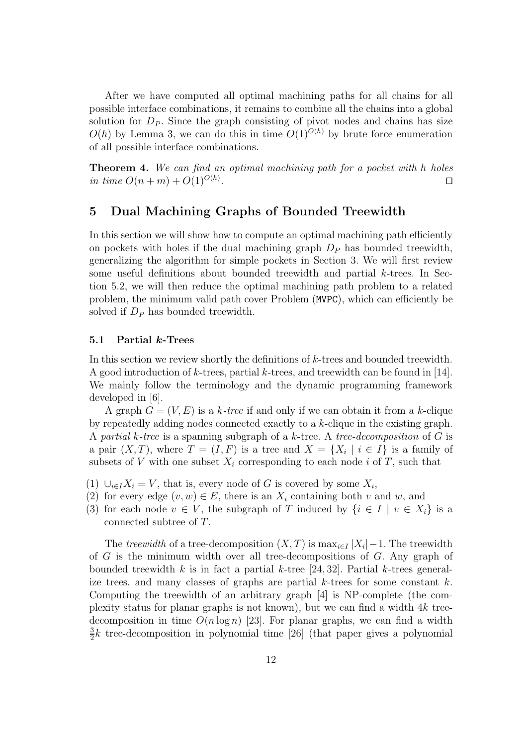After we have computed all optimal machining paths for all chains for all possible interface combinations, it remains to combine all the chains into a global solution for  $D<sub>P</sub>$ . Since the graph consisting of pivot nodes and chains has size  $O(h)$  by Lemma 3, we can do this in time  $O(1)^{O(h)}$  by brute force enumeration of all possible interface combinations.

**Theorem 4.** We can find an optimal machining path for a pocket with h holes in time  $O(n + m) + O(1)^{O(h)}$ . . ⊔

### 5 Dual Machining Graphs of Bounded Treewidth

In this section we will show how to compute an optimal machining path efficiently on pockets with holes if the dual machining graph  $D<sub>P</sub>$  has bounded treewidth, generalizing the algorithm for simple pockets in Section 3. We will first review some useful definitions about bounded treewidth and partial k-trees. In Section 5.2, we will then reduce the optimal machining path problem to a related problem, the minimum valid path cover Problem (MVPC), which can efficiently be solved if  $D<sub>P</sub>$  has bounded treewidth.

#### 5.1 Partial k-Trees

In this section we review shortly the definitions of k-trees and bounded treewidth. A good introduction of  $k$ -trees, partial  $k$ -trees, and treewidth can be found in [14]. We mainly follow the terminology and the dynamic programming framework developed in [6].

A graph  $G = (V, E)$  is a k-tree if and only if we can obtain it from a k-clique by repeatedly adding nodes connected exactly to a k-clique in the existing graph. A partial k-tree is a spanning subgraph of a k-tree. A tree-decomposition of  $G$  is a pair  $(X, T)$ , where  $T = (I, F)$  is a tree and  $X = \{X_i \mid i \in I\}$  is a family of subsets of V with one subset  $X_i$  corresponding to each node i of T, such that

- (1)  $\bigcup_{i\in I} X_i = V$ , that is, every node of G is covered by some  $X_i$ ,
- (2) for every edge  $(v, w) \in E$ , there is an  $X_i$  containing both v and w, and
- (3) for each node  $v \in V$ , the subgraph of T induced by  $\{i \in I \mid v \in X_i\}$  is a connected subtree of T.

The treewidth of a tree-decomposition  $(X,T)$  is  $\max_{i\in I} |X_i|-1$ . The treewidth of  $G$  is the minimum width over all tree-decompositions of  $G$ . Any graph of bounded treewidth k is in fact a partial k-tree [24, 32]. Partial k-trees generalize trees, and many classes of graphs are partial  $k$ -trees for some constant  $k$ . Computing the treewidth of an arbitrary graph [4] is NP-complete (the complexity status for planar graphs is not known), but we can find a width 4k treedecomposition in time  $O(n \log n)$  [23]. For planar graphs, we can find a width 3  $\frac{3}{2}k$  tree-decomposition in polynomial time [26] (that paper gives a polynomial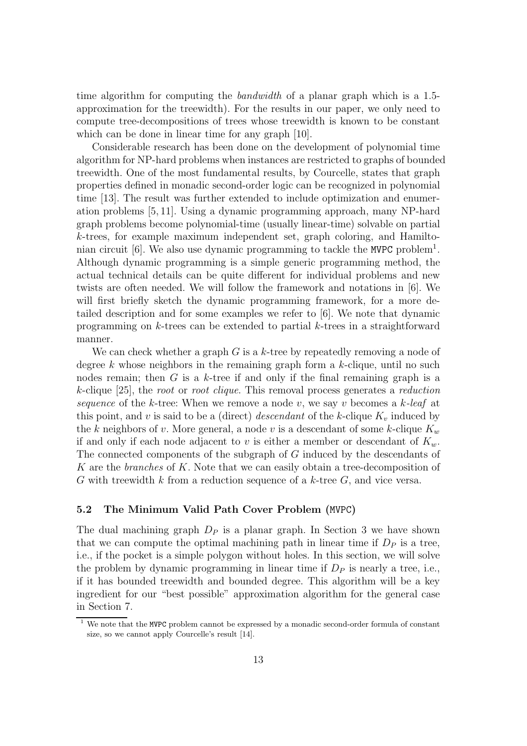time algorithm for computing the bandwidth of a planar graph which is a 1.5 approximation for the treewidth). For the results in our paper, we only need to compute tree-decompositions of trees whose treewidth is known to be constant which can be done in linear time for any graph [10].

Considerable research has been done on the development of polynomial time algorithm for NP-hard problems when instances are restricted to graphs of bounded treewidth. One of the most fundamental results, by Courcelle, states that graph properties defined in monadic second-order logic can be recognized in polynomial time [13]. The result was further extended to include optimization and enumeration problems [5, 11]. Using a dynamic programming approach, many NP-hard graph problems become polynomial-time (usually linear-time) solvable on partial k-trees, for example maximum independent set, graph coloring, and Hamiltonian circuit  $[6]$ . We also use dynamic programming to tackle the MVPC problem<sup>1</sup>. Although dynamic programming is a simple generic programming method, the actual technical details can be quite different for individual problems and new twists are often needed. We will follow the framework and notations in [6]. We will first briefly sketch the dynamic programming framework, for a more detailed description and for some examples we refer to [6]. We note that dynamic programming on  $k$ -trees can be extended to partial  $k$ -trees in a straightforward manner.

We can check whether a graph  $G$  is a k-tree by repeatedly removing a node of degree  $k$  whose neighbors in the remaining graph form a  $k$ -clique, until no such nodes remain; then  $G$  is a k-tree if and only if the final remaining graph is a k-clique [25], the root or root clique. This removal process generates a reduction sequence of the k-tree: When we remove a node v, we say v becomes a k-leaf at this point, and v is said to be a (direct) descendant of the k-clique  $K_v$  induced by the k neighbors of v. More general, a node v is a descendant of some k-clique  $K_w$ if and only if each node adjacent to v is either a member or descendant of  $K_w$ . The connected components of the subgraph of G induced by the descendants of K are the *branches* of K. Note that we can easily obtain a tree-decomposition of G with treewidth k from a reduction sequence of a  $k$ -tree  $G$ , and vice versa.

#### 5.2 The Minimum Valid Path Cover Problem (MVPC)

The dual machining graph  $D<sub>P</sub>$  is a planar graph. In Section 3 we have shown that we can compute the optimal machining path in linear time if  $D<sub>P</sub>$  is a tree, i.e., if the pocket is a simple polygon without holes. In this section, we will solve the problem by dynamic programming in linear time if  $D<sub>P</sub>$  is nearly a tree, i.e., if it has bounded treewidth and bounded degree. This algorithm will be a key ingredient for our "best possible" approximation algorithm for the general case in Section 7.

 $1$  We note that the MVPC problem cannot be expressed by a monadic second-order formula of constant size, so we cannot apply Courcelle's result [14].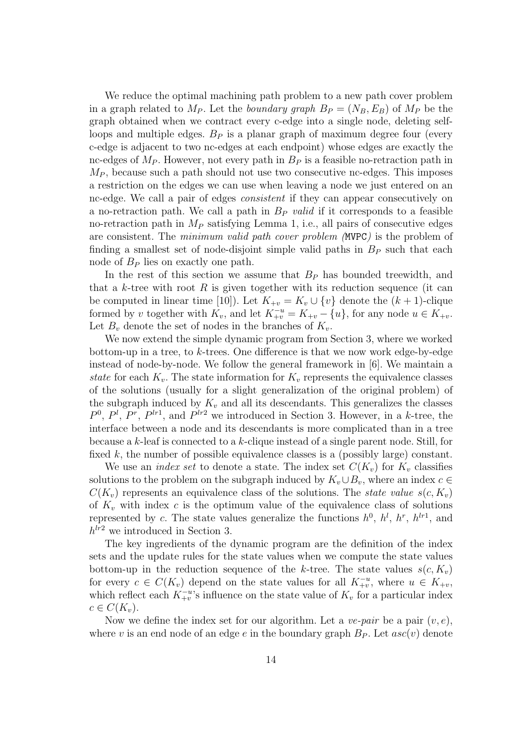We reduce the optimal machining path problem to a new path cover problem in a graph related to  $M_P$ . Let the *boundary graph*  $B_P = (N_B, E_B)$  of  $M_P$  be the graph obtained when we contract every c-edge into a single node, deleting selfloops and multiple edges.  $B<sub>P</sub>$  is a planar graph of maximum degree four (every c-edge is adjacent to two nc-edges at each endpoint) whose edges are exactly the nc-edges of  $M_P$ . However, not every path in  $B_P$  is a feasible no-retraction path in  $M_P$ , because such a path should not use two consecutive nc-edges. This imposes a restriction on the edges we can use when leaving a node we just entered on an nc-edge. We call a pair of edges consistent if they can appear consecutively on a no-retraction path. We call a path in  $B_P$  valid if it corresponds to a feasible no-retraction path in  $M_P$  satisfying Lemma 1, i.e., all pairs of consecutive edges are consistent. The minimum valid path cover problem (MVPC) is the problem of finding a smallest set of node-disjoint simple valid paths in  $B<sub>P</sub>$  such that each node of  $B_P$  lies on exactly one path.

In the rest of this section we assume that  $B<sub>P</sub>$  has bounded treewidth, and that a k-tree with root  $R$  is given together with its reduction sequence (it can be computed in linear time [10]). Let  $K_{+v} = K_v \cup \{v\}$  denote the  $(k + 1)$ -clique formed by v together with  $K_v$ , and let  $K_{+v}^{-u} = K_{+v} - \{u\}$ , for any node  $u \in K_{+v}$ . Let  $B_v$  denote the set of nodes in the branches of  $K_v$ .

We now extend the simple dynamic program from Section 3, where we worked bottom-up in a tree, to  $k$ -trees. One difference is that we now work edge-by-edge instead of node-by-node. We follow the general framework in [6]. We maintain a state for each  $K_v$ . The state information for  $K_v$  represents the equivalence classes of the solutions (usually for a slight generalization of the original problem) of the subgraph induced by  $K_v$  and all its descendants. This generalizes the classes  $P^0$ ,  $P^l$ ,  $P^r$ ,  $P^{lr1}$ , and  $P^{lr2}$  we introduced in Section 3. However, in a k-tree, the interface between a node and its descendants is more complicated than in a tree because a  $k$ -leaf is connected to a  $k$ -clique instead of a single parent node. Still, for fixed  $k$ , the number of possible equivalence classes is a (possibly large) constant.

We use an *index set* to denote a state. The index set  $C(K_v)$  for  $K_v$  classifies solutions to the problem on the subgraph induced by  $K_v \cup B_v$ , where an index  $c \in$  $C(K_v)$  represents an equivalence class of the solutions. The *state value*  $s(c, K_v)$ of  $K_v$  with index c is the optimum value of the equivalence class of solutions represented by c. The state values generalize the functions  $h^0$ ,  $h^l$ ,  $h^r$ ,  $h^{lr1}$ , and  $h^{lr2}$  we introduced in Section 3.

The key ingredients of the dynamic program are the definition of the index sets and the update rules for the state values when we compute the state values bottom-up in the reduction sequence of the k-tree. The state values  $s(c, K_v)$ for every  $c \in C(K_v)$  depend on the state values for all  $K_{+v}^{-u}$ , where  $u \in K_{+v}$ , which reflect each  $K_{+v}^{-u}$ 's influence on the state value of  $K_v$  for a particular index  $c \in C(K_v)$ .

Now we define the index set for our algorithm. Let a *ve-pair* be a pair  $(v, e)$ , where v is an end node of an edge e in the boundary graph  $B<sub>P</sub>$ . Let  $asc(v)$  denote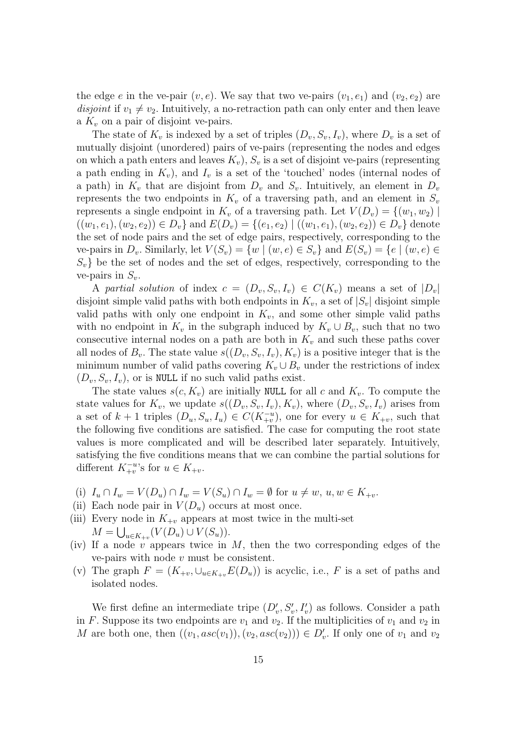the edge e in the ve-pair  $(v, e)$ . We say that two ve-pairs  $(v_1, e_1)$  and  $(v_2, e_2)$  are disjoint if  $v_1 \neq v_2$ . Intuitively, a no-retraction path can only enter and then leave a  $K_v$  on a pair of disjoint ve-pairs.

The state of  $K_v$  is indexed by a set of triples  $(D_v, S_v, I_v)$ , where  $D_v$  is a set of mutually disjoint (unordered) pairs of ve-pairs (representing the nodes and edges on which a path enters and leaves  $K_v$ ),  $S_v$  is a set of disjoint ve-pairs (representing a path ending in  $K_v$ ), and  $I_v$  is a set of the 'touched' nodes (internal nodes of a path) in  $K_v$  that are disjoint from  $D_v$  and  $S_v$ . Intuitively, an element in  $D_v$ represents the two endpoints in  $K_v$  of a traversing path, and an element in  $S_v$ represents a single endpoint in  $K_v$  of a traversing path. Let  $V(D_v) = \{(w_1, w_2) \mid$  $((w_1, e_1), (w_2, e_2)) \in D_v$  and  $E(D_v) = \{(e_1, e_2) \mid ((w_1, e_1), (w_2, e_2)) \in D_v\}$  denote the set of node pairs and the set of edge pairs, respectively, corresponding to the ve-pairs in  $D_v$ . Similarly, let  $V(S_v) = \{w \mid (w, e) \in S_v\}$  and  $E(S_v) = \{e \mid (w, e) \in S_v\}$  $S_v$  be the set of nodes and the set of edges, respectively, corresponding to the ve-pairs in  $S_v$ .

A partial solution of index  $c = (D_v, S_v, I_v) \in C(K_v)$  means a set of  $|D_v|$ disjoint simple valid paths with both endpoints in  $K_v$ , a set of  $|S_v|$  disjoint simple valid paths with only one endpoint in  $K_v$ , and some other simple valid paths with no endpoint in  $K_v$  in the subgraph induced by  $K_v \cup B_v$ , such that no two consecutive internal nodes on a path are both in  $K_v$  and such these paths cover all nodes of  $B_v$ . The state value  $s((D_v, S_v, I_v), K_v)$  is a positive integer that is the minimum number of valid paths covering  $K_v \cup B_v$  under the restrictions of index  $(D_v, S_v, I_v)$ , or is NULL if no such valid paths exist.

The state values  $s(c, K_v)$  are initially NULL for all c and  $K_v$ . To compute the state values for  $K_v$ , we update  $s((D_v, S_v, I_v), K_v)$ , where  $(D_v, S_v, I_v)$  arises from a set of  $k+1$  triples  $(D_u, S_u, I_u) \in C(K_{+v}^{-u})$ , one for every  $u \in K_{+v}$ , such that the following five conditions are satisfied. The case for computing the root state values is more complicated and will be described later separately. Intuitively, satisfying the five conditions means that we can combine the partial solutions for different  $K_{+v}^{-u}$ 's for  $u \in K_{+v}$ .

- (i)  $I_u \cap I_w = V(D_u) \cap I_w = V(S_u) \cap I_w = \emptyset$  for  $u \neq w, u, w \in K_{+v}$ .
- (ii) Each node pair in  $V(D_u)$  occurs at most once.
- (iii) Every node in  $K_{+v}$  appears at most twice in the multi-set  $M = \bigcup_{u \in K_{+v}} (V(D_u) \cup V(S_u)).$
- (iv) If a node  $v$  appears twice in  $M$ , then the two corresponding edges of the ve-pairs with node  $v$  must be consistent.
- (v) The graph  $F = (K_{+v}, \cup_{u \in K_{+v}} E(D_u))$  is acyclic, i.e., F is a set of paths and isolated nodes.

We first define an intermediate tripe  $(D'_v, S'_v, I'_v)$  as follows. Consider a path in F. Suppose its two endpoints are  $v_1$  and  $v_2$ . If the multiplicities of  $v_1$  and  $v_2$  in M are both one, then  $((v_1, asc(v_1)), (v_2, asc(v_2))) \in D'_v$ . If only one of  $v_1$  and  $v_2$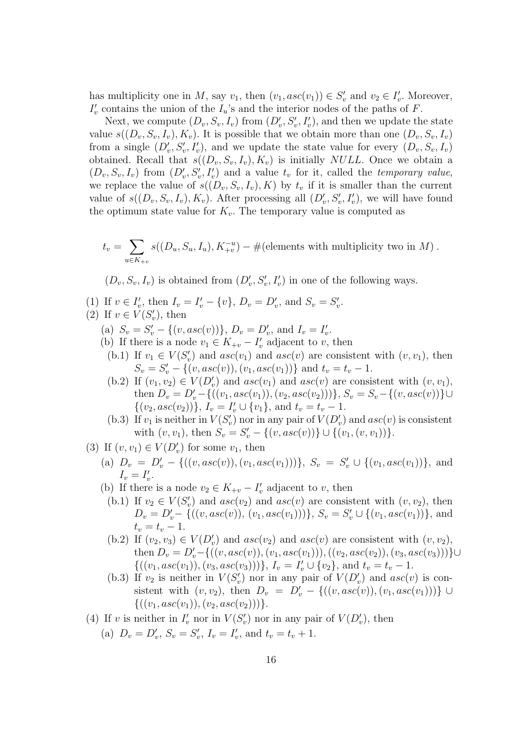has multiplicity one in M, say  $v_1$ , then  $(v_1, asc(v_1)) \in S'_v$  and  $v_2 \in I'_v$ . Moreover,  $I'_v$  contains the union of the  $I_u$ 's and the interior nodes of the paths of F.

Next, we compute  $(D_v, S_v, I_v)$  from  $(D'_v, S'_v, I'_v)$ , and then we update the state value  $s((D_v, S_v, I_v), K_v)$ . It is possible that we obtain more than one  $(D_v, S_v, I_v)$ from a single  $(D'_v, S'_v, I'_v)$ , and we update the state value for every  $(D_v, S_v, I_v)$ obtained. Recall that  $s((D_v, S_v, I_v), K_v)$  is initially *NULL*. Once we obtain a  $(D_v, S_v, I_v)$  from  $(D'_v, S'_v, I'_v)$  and a value  $t_v$  for it, called the *temporary value*, we replace the value of  $s((D_v, S_v, I_v), K)$  by  $t_v$  if it is smaller than the current value of  $s((D_v, S_v, I_v), K_v)$ . After processing all  $(D'_v, S'_v, I'_v)$ , we will have found the optimum state value for  $K_v$ . The temporary value is computed as

$$
t_v = \sum_{u \in K_{+v}} s((D_u, S_u, I_u), K_{+v}^{-u}) - #
$$
(elements with multiplicity two in M).

 $(D_v, S_v, I_v)$  is obtained from  $(D'_v, S'_v, I'_v)$  in one of the following ways.

- (1) If  $v \in I'_v$ , then  $I_v = I'_v \{v\}$ ,  $D_v = D'_v$ , and  $S_v = S'_v$ .
- (2) If  $v \in V(S'_v)$ , then
	- (a)  $S_v = S'_v \{(v, asc(v))\}, D_v = D'_v$ , and  $I_v = I'_v$ .
	- (b) If there is a node  $v_1 \in K_{+v} I'_v$  adjacent to v, then
		- (b.1) If  $v_1 \in V(S'_v)$  and  $asc(v_1)$  and  $asc(v)$  are consistent with  $(v, v_1)$ , then  $S_v = S'_v - \{(v, asc(v)), (v_1, asc(v_1))\}$  and  $t_v = t_v - 1$ .
		- (b.2) If  $(v_1, v_2) \in V(D'_v)$  and  $asc(v_1)$  and  $asc(v)$  are consistent with  $(v, v_1)$ , then  $D_v = D'_v - \{((v_1, asc(v_1)), (v_2, asc(v_2)))\}, S_v = S_v - \{(v, asc(v))\} \cup$  $\{(v_2, asc(v_2))\}, I_v = I'_v \cup \{v_1\}, \text{ and } t_v = t_v - 1.$
		- (b.3) If  $v_1$  is neither in  $V(S'_v)$  nor in any pair of  $V(D'_v)$  and  $asc(v)$  is consistent with  $(v, v_1)$ , then  $S_v = S'_v - \{(v, asc(v))\} \cup \{(v_1, (v, v_1))\}.$
- (3) If  $(v, v_1) \in V(D'_v)$  for some  $v_1$ , then
	- (a)  $D_v = D'_v \{((v, asc(v)), (v_1, asc(v_1)))\}, S_v = S'_v \cup \{(v_1, asc(v_1))\}, \text{ and}$  $I_v = I'_v.$
	- (b) If there is a node  $v_2 \in K_{+v} I'_v$  adjacent to v, then
	- (b.1) If  $v_2 \in V(S'_v)$  and  $asc(v_2)$  and  $asc(v)$  are consistent with  $(v, v_2)$ , then  $D_v = D'_v - \{((v, asc(v)), (v_1, asc(v_1)))\}, S_v = S'_v \cup \{(v_1, asc(v_1))\},$  and  $t_v = t_v - 1.$
	- (b.2) If  $(v_2, v_3) \in V(D'_v)$  and  $asc(v_2)$  and  $asc(v)$  are consistent with  $(v, v_2)$ , then  $D_v = D'_v - \{((v, asc(v)), (v_1, asc(v_1))), ((v_2, asc(v_2)), (v_3, asc(v_3)))\}$ ∪  $\{((v_1,asc(v_1)),(v_3,asc(v_3)))\}, I_v = I'_v \cup \{v_2\}, \text{ and } t_v = t_v - 1.$
	- (b.3) If  $v_2$  is neither in  $V(S'_v)$  nor in any pair of  $V(D'_v)$  and  $asc(v)$  is consistent with  $(v, v_2)$ , then  $D_v = D'_v - \{((v, asc(v)), (v_1, asc(v_1)))\} \cup$  $\{((v_1,asc(v_1)),(v_2,asc(v_2)))\}.$
- (4) If v is neither in  $I'_v$  nor in  $V(S'_v)$  nor in any pair of  $V(D'_v)$ , then
	- (a)  $D_v = D'_v$ ,  $S_v = S'_v$ ,  $I_v = I'_v$ , and  $t_v = t_v + 1$ .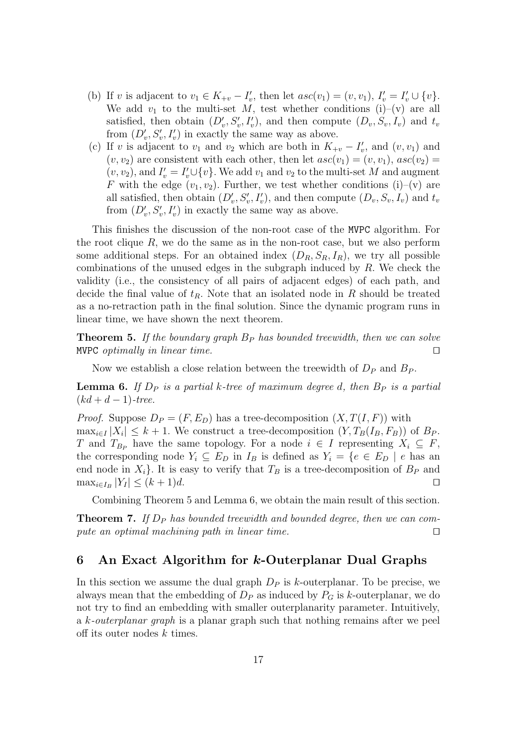- (b) If v is adjacent to  $v_1 \in K_{+v} I'_v$ , then let  $asc(v_1) = (v, v_1)$ ,  $I'_v = I'_v \cup \{v\}$ . We add  $v_1$  to the multi-set M, test whether conditions (i)–(v) are all satisfied, then obtain  $(D'_v, S'_v, I'_v)$ , and then compute  $(D_v, S_v, I_v)$  and  $t_v$ from  $(D'_v, S'_v, I'_v)$  in exactly the same way as above.
- (c) If v is adjacent to  $v_1$  and  $v_2$  which are both in  $K_{+v} I'_v$ , and  $(v, v_1)$  and  $(v, v_2)$  are consistent with each other, then let  $asc(v_1) = (v, v_1)$ ,  $asc(v_2) =$  $(v, v_2)$ , and  $I'_v = I'_v \cup \{v\}$ . We add  $v_1$  and  $v_2$  to the multi-set M and augment F with the edge  $(v_1, v_2)$ . Further, we test whether conditions (i)–(v) are all satisfied, then obtain  $(D'_v, S'_v, I'_v)$ , and then compute  $(D_v, S_v, I_v)$  and  $t_v$ from  $(D'_v, S'_v, I'_v)$  in exactly the same way as above.

This finishes the discussion of the non-root case of the MVPC algorithm. For the root clique  $R$ , we do the same as in the non-root case, but we also perform some additional steps. For an obtained index  $(D_R, S_R, I_R)$ , we try all possible combinations of the unused edges in the subgraph induced by  $R$ . We check the validity (i.e., the consistency of all pairs of adjacent edges) of each path, and decide the final value of  $t_R$ . Note that an isolated node in R should be treated as a no-retraction path in the final solution. Since the dynamic program runs in linear time, we have shown the next theorem.

**Theorem 5.** If the boundary graph  $B<sub>P</sub>$  has bounded treewidth, then we can solve MVPC optimally in linear time.  $□$ 

Now we establish a close relation between the treewidth of  $D_P$  and  $B_P$ .

**Lemma 6.** If  $D_P$  is a partial k-tree of maximum degree d, then  $B_P$  is a partial  $(kd + d - 1)$ -tree.

*Proof.* Suppose  $D_P = (F, E_D)$  has a tree-decomposition  $(X, T(I, F))$  with  $\max_{i \in I} |X_i| \leq k + 1$ . We construct a tree-decomposition  $(Y, T_B(I_B, F_B))$  of  $B_P$ . T and  $T_{B_P}$  have the same topology. For a node  $i \in I$  representing  $X_i \subseteq F$ , the corresponding node  $Y_i \subseteq E_D$  in  $I_B$  is defined as  $Y_i = \{e \in E_D \mid e \text{ has an }$ end node in  $X_i$ . It is easy to verify that  $T_B$  is a tree-decomposition of  $B_P$  and  $\max_{i \in I_B} |Y_I| \le (k+1)d.$ 

Combining Theorem 5 and Lemma 6, we obtain the main result of this section.

**Theorem 7.** If  $D_P$  has bounded treewidth and bounded degree, then we can compute an optimal machining path in linear time. □

### 6 An Exact Algorithm for k-Outerplanar Dual Graphs

In this section we assume the dual graph  $D<sub>P</sub>$  is k-outerplanar. To be precise, we always mean that the embedding of  $D<sub>P</sub>$  as induced by  $P<sub>G</sub>$  is k-outerplanar, we do not try to find an embedding with smaller outerplanarity parameter. Intuitively, a k-outerplanar graph is a planar graph such that nothing remains after we peel off its outer nodes  $k$  times.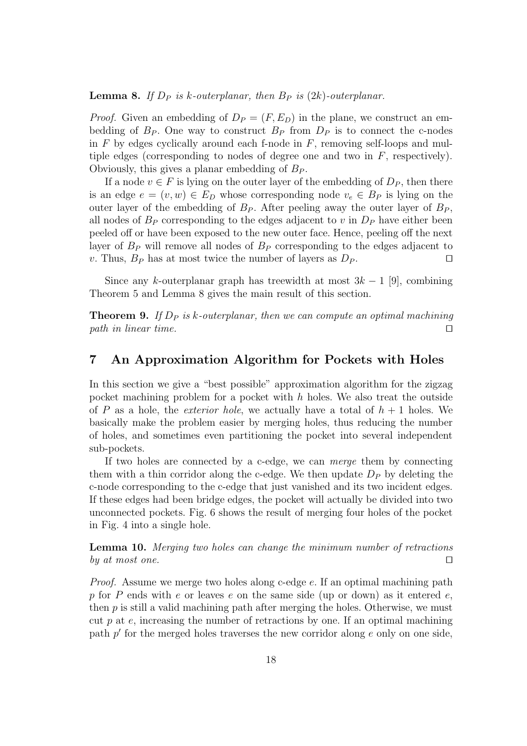**Lemma 8.** If  $D_P$  is k-outerplanar, then  $B_P$  is  $(2k)$ -outerplanar.

*Proof.* Given an embedding of  $D_P = (F, E_D)$  in the plane, we construct an embedding of  $B_P$ . One way to construct  $B_P$  from  $D_P$  is to connect the c-nodes in  $F$  by edges cyclically around each f-node in  $F$ , removing self-loops and multiple edges (corresponding to nodes of degree one and two in  $F$ , respectively). Obviously, this gives a planar embedding of  $B<sub>P</sub>$ .

If a node  $v \in F$  is lying on the outer layer of the embedding of  $D_P$ , then there is an edge  $e = (v, w) \in E_D$  whose corresponding node  $v_e \in B_P$  is lying on the outer layer of the embedding of  $B_P$ . After peeling away the outer layer of  $B_P$ , all nodes of  $B<sub>P</sub>$  corresponding to the edges adjacent to v in  $D<sub>P</sub>$  have either been peeled off or have been exposed to the new outer face. Hence, peeling off the next layer of  $B<sub>P</sub>$  will remove all nodes of  $B<sub>P</sub>$  corresponding to the edges adjacent to v. Thus,  $B_P$  has at most twice the number of layers as  $D_P$ . □

Since any k-outerplanar graph has treewidth at most  $3k-1$  [9], combining Theorem 5 and Lemma 8 gives the main result of this section.

**Theorem 9.** If  $D_P$  is k-outerplanar, then we can compute an optimal machining path in linear time.  $□$ 

### 7 An Approximation Algorithm for Pockets with Holes

In this section we give a "best possible" approximation algorithm for the zigzag pocket machining problem for a pocket with  $h$  holes. We also treat the outside of P as a hole, the *exterior hole*, we actually have a total of  $h + 1$  holes. We basically make the problem easier by merging holes, thus reducing the number of holes, and sometimes even partitioning the pocket into several independent sub-pockets.

If two holes are connected by a c-edge, we can merge them by connecting them with a thin corridor along the c-edge. We then update  $D<sub>P</sub>$  by deleting the c-node corresponding to the c-edge that just vanished and its two incident edges. If these edges had been bridge edges, the pocket will actually be divided into two unconnected pockets. Fig. 6 shows the result of merging four holes of the pocket in Fig. 4 into a single hole.

Lemma 10. Merging two holes can change the minimum number of retractions by at most one.  $□$ 

Proof. Assume we merge two holes along c-edge e. If an optimal machining path p for P ends with  $e$  or leaves  $e$  on the same side (up or down) as it entered  $e$ , then  $p$  is still a valid machining path after merging the holes. Otherwise, we must cut p at  $e$ , increasing the number of retractions by one. If an optimal machining path  $p'$  for the merged holes traverses the new corridor along  $e$  only on one side,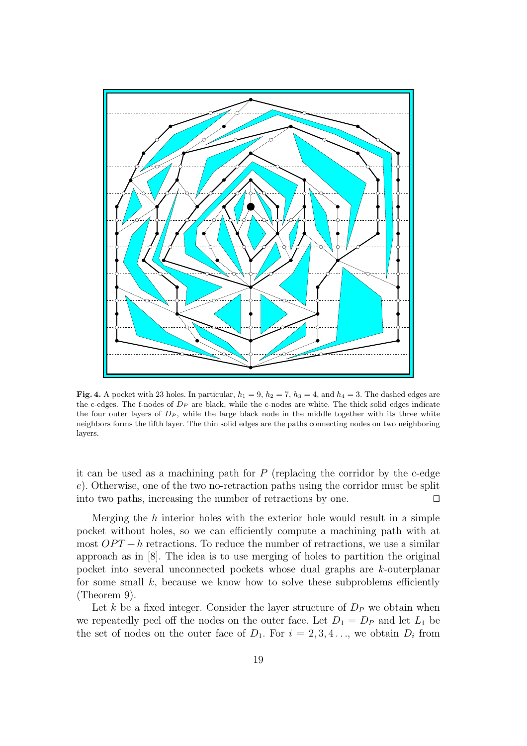

Fig. 4. A pocket with 23 holes. In particular,  $h_1 = 9$ ,  $h_2 = 7$ ,  $h_3 = 4$ , and  $h_4 = 3$ . The dashed edges are the c-edges. The f-nodes of  $D<sub>P</sub>$  are black, while the c-nodes are white. The thick solid edges indicate the four outer layers of  $D<sub>P</sub>$ , while the large black node in the middle together with its three white neighbors forms the fifth layer. The thin solid edges are the paths connecting nodes on two neighboring layers.

it can be used as a machining path for  $P$  (replacing the corridor by the c-edge e). Otherwise, one of the two no-retraction paths using the corridor must be split into two paths, increasing the number of retractions by one. ⊓⊔

Merging the  $h$  interior holes with the exterior hole would result in a simple pocket without holes, so we can efficiently compute a machining path with at most  $OPT + h$  retractions. To reduce the number of retractions, we use a similar approach as in [8]. The idea is to use merging of holes to partition the original pocket into several unconnected pockets whose dual graphs are k-outerplanar for some small  $k$ , because we know how to solve these subproblems efficiently (Theorem 9).

Let k be a fixed integer. Consider the layer structure of  $D<sub>P</sub>$  we obtain when we repeatedly peel off the nodes on the outer face. Let  $D_1 = D_P$  and let  $L_1$  be the set of nodes on the outer face of  $D_1$ . For  $i = 2, 3, 4, \ldots$ , we obtain  $D_i$  from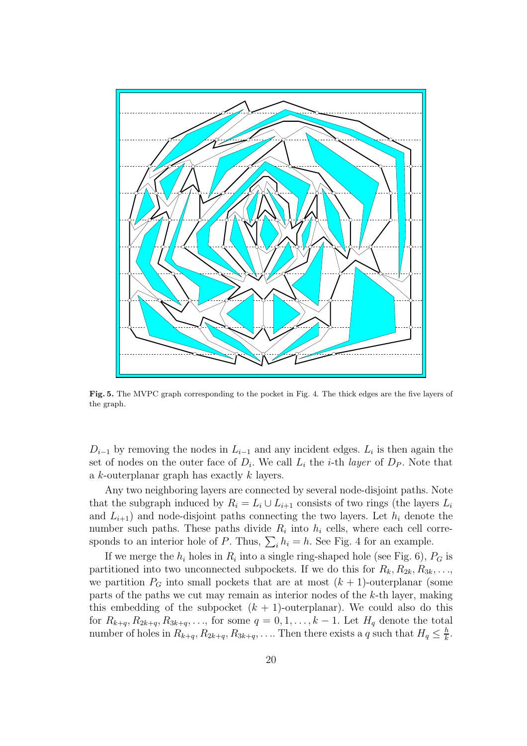

Fig. 5. The MVPC graph corresponding to the pocket in Fig. 4. The thick edges are the five layers of the graph.

 $D_{i-1}$  by removing the nodes in  $L_{i-1}$  and any incident edges.  $L_i$  is then again the set of nodes on the outer face of  $D_i$ . We call  $L_i$  the *i*-th *layer* of  $D_P$ . Note that a k-outerplanar graph has exactly k layers.

Any two neighboring layers are connected by several node-disjoint paths. Note that the subgraph induced by  $R_i = L_i \cup L_{i+1}$  consists of two rings (the layers  $L_i$ and  $L_{i+1}$ ) and node-disjoint paths connecting the two layers. Let  $h_i$  denote the number such paths. These paths divide  $R_i$  into  $h_i$  cells, where each cell corresponds to an interior hole of P. Thus,  $\sum_i h_i = h$ . See Fig. 4 for an example.

If we merge the  $h_i$  holes in  $R_i$  into a single ring-shaped hole (see Fig. 6),  $P_G$  is partitioned into two unconnected subpockets. If we do this for  $R_k, R_{2k}, R_{3k}, \ldots$ , we partition  $P_G$  into small pockets that are at most  $(k+1)$ -outerplanar (some parts of the paths we cut may remain as interior nodes of the k-th layer, making this embedding of the subpocket  $(k + 1)$ -outerplanar). We could also do this for  $R_{k+q}, R_{2k+q}, R_{3k+q}, \ldots$ , for some  $q = 0, 1, \ldots, k-1$ . Let  $H_q$  denote the total number of holes in  $R_{k+q}, R_{2k+q}, R_{3k+q}, \ldots$  Then there exists a q such that  $H_q \leq \frac{h}{k}$  $\frac{h}{k}$ .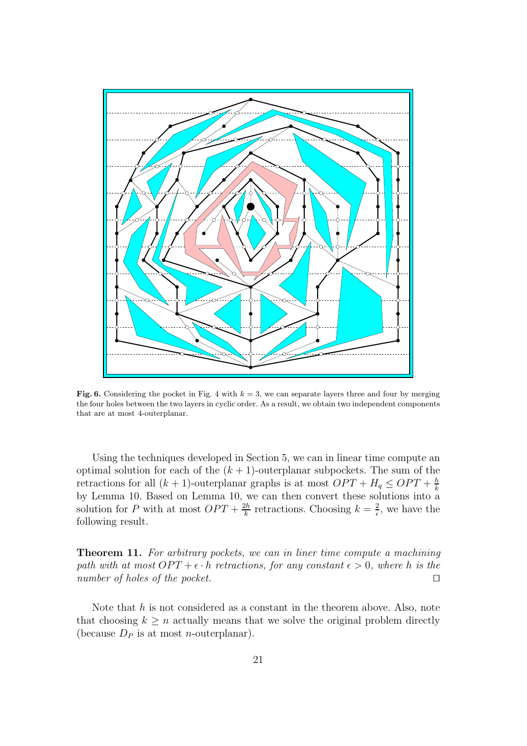

Fig. 6. Considering the pocket in Fig. 4 with  $k = 3$ , we can separate layers three and four by merging the four holes between the two layers in cyclic order. As a result, we obtain two independent components that are at most 4-outerplanar.

Using the techniques developed in Section 5, we can in linear time compute an optimal solution for each of the  $(k + 1)$ -outerplanar subpockets. The sum of the retractions for all  $(k + 1)$ -outerplanar graphs is at most  $OPT + H_q \leq OPT + \frac{h}{k}$ k by Lemma 10. Based on Lemma 10, we can then convert these solutions into a solution for P with at most  $OPT + \frac{2h}{k}$  $\frac{2h}{k}$  retractions. Choosing  $k = \frac{2}{\epsilon}$  $\frac{2}{\epsilon}$ , we have the following result.

Theorem 11. For arbitrary pockets, we can in liner time compute a machining path with at most  $OPT + \epsilon \cdot h$  retractions, for any constant  $\epsilon > 0$ , where h is the number of holes of the pocket. □

Note that  $h$  is not considered as a constant in the theorem above. Also, note that choosing  $k \geq n$  actually means that we solve the original problem directly (because  $D_P$  is at most *n*-outerplanar).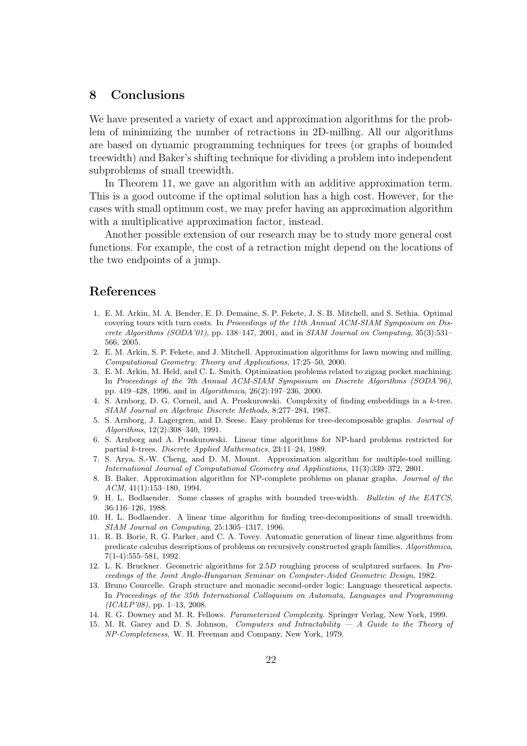### 8 Conclusions

We have presented a variety of exact and approximation algorithms for the problem of minimizing the number of retractions in 2D-milling. All our algorithms are based on dynamic programming techniques for trees (or graphs of bounded treewidth) and Baker's shifting technique for dividing a problem into independent subproblems of small treewidth.

In Theorem 11, we gave an algorithm with an additive approximation term. This is a good outcome if the optimal solution has a high cost. However, for the cases with small optimum cost, we may prefer having an approximation algorithm with a multiplicative approximation factor, instead.

Another possible extension of our research may be to study more general cost functions. For example, the cost of a retraction might depend on the locations of the two endpoints of a jump.

### References

- 1. E. M. Arkin, M. A. Bender, E. D. Demaine, S. P. Fekete, J. S. B. Mitchell, and S. Sethia. Optimal covering tours with turn costs. In *Proceedings of the 11th Annual ACM-SIAM Symposium on Discrete Algorithms (SODA'01)*, pp. 138–147, 2001, and in *SIAM Journal on Computing*, 35(3):531– 566, 2005.
- 2. E. M. Arkin, S. P. Fekete, and J. Mitchell. Approximation algorithms for lawn mowing and milling. *Computational Geometry: Theory and Applications*, 17:25–50, 2000.
- 3. E. M. Arkin, M. Held, and C. L. Smith. Optimization problems related to zigzag pocket machining. In *Proceedings of the 7th Annual ACM-SIAM Symposium on Discrete Algorithms (SODA'96)*, pp. 419–428, 1996, and in *Algorithmica*, 26(2):197–236, 2000.
- 4. S. Arnborg, D. G. Corneil, and A. Proskurowski. Complexity of finding embeddings in a k-tree. *SIAM Journal on Algebraic Discrete Methods*, 8:277–284, 1987.
- 5. S. Arnborg, J. Lagergren, and D. Seese. Easy problems for tree-decomposable graphs. *Journal of Algorithms*, 12(2):308–340, 1991.
- 6. S. Arnborg and A. Proskurowski. Linear time algorithms for NP-hard problems restricted for partial k-trees. *Discrete Applied Mathematics*, 23:11–24, 1989.
- 7. S. Arya, S.-W. Cheng, and D. M. Mount. Approximation algorithm for multiple-tool milling. *International Journal of Computational Geometry and Applications*, 11(3):339–372, 2001.
- 8. B. Baker. Approximation algorithm for NP-complete problems on planar graphs. *Journal of the ACM*, 41(1):153–180, 1994.
- 9. H. L. Bodlaender. Some classes of graphs with bounded tree-width. *Bulletin of the EATCS*, 36:116–126, 1988.
- 10. H. L. Bodlaender. A linear time algorithm for finding tree-decompositions of small treewidth. *SIAM Journal on Computing*, 25:1305–1317, 1996.
- 11. R. B. Borie, R. G. Parker, and C. A. Tovey. Automatic generation of linear time algorithms from predicate calculus descriptions of problems on recursively constructed graph families. *Algorithmica*, 7(1-4):555–581, 1992.
- 12. L. K. Bruckner. Geometric algorithms for 2.5D roughing process of sculptured surfaces. In *Proceedings of the Joint Anglo-Hungarian Seminar on Computer-Aided Geometric Design*, 1982.
- 13. Bruno Courcelle. Graph structure and monadic second-order logic: Language theoretical aspects. In *Proceedings of the 35th International Colloquium on Automata, Languages and Programming (ICALP'08)*, pp. 1–13, 2008.
- 14. R. G. Downey and M. R. Fellows. *Parameterized Complexity*. Springer Verlag, New York, 1999.
- 15. M. R. Garey and D. S. Johnson, *Computers and Intractability A Guide to the Theory of NP-Completeness*, W. H. Freeman and Company, New York, 1979.